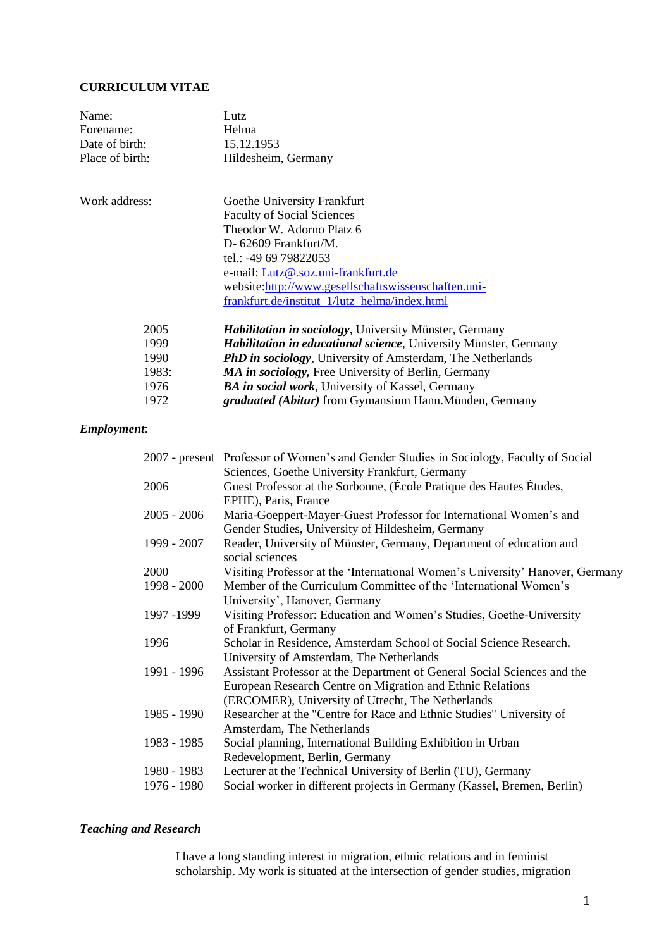## **CURRICULUM VITAE**

| Name:           | Lutz                                                                     |
|-----------------|--------------------------------------------------------------------------|
| Forename:       | Helma                                                                    |
| Date of birth:  | 15.12.1953                                                               |
| Place of birth: | Hildesheim, Germany                                                      |
| Work address:   | Goethe University Frankfurt                                              |
|                 | <b>Faculty of Social Sciences</b>                                        |
|                 | Theodor W. Adorno Platz 6                                                |
|                 | $D-62609$ Frankfurt/M.                                                   |
|                 | tel.: -49 69 79822053                                                    |
|                 | e-mail: Lutz@.soz.uni-frankfurt.de                                       |
|                 | website:http://www.gesellschaftswissenschaften.uni-                      |
|                 | frankfurt.de/institut_1/lutz_helma/index.html                            |
| 2005            | <b>Habilitation in sociology</b> , University Münster, Germany           |
| 1999            | <b>Habilitation in educational science</b> , University Münster, Germany |
| 1990            | <b>PhD in sociology</b> , University of Amsterdam, The Netherlands       |
| 1983:           | MA in sociology, Free University of Berlin, Germany                      |
| 1976            | <b>BA in social work</b> , University of Kassel, Germany                 |

### 1972 *graduated (Abitur)* from Gymansium Hann.Münden, Germany

# *Employment*:

|               | 2007 - present Professor of Women's and Gender Studies in Sociology, Faculty of Social |
|---------------|----------------------------------------------------------------------------------------|
|               | Sciences, Goethe University Frankfurt, Germany                                         |
| 2006          | Guest Professor at the Sorbonne, (École Pratique des Hautes Études,                    |
|               | EPHE), Paris, France                                                                   |
| $2005 - 2006$ | Maria-Goeppert-Mayer-Guest Professor for International Women's and                     |
|               | Gender Studies, University of Hildesheim, Germany                                      |
| 1999 - 2007   | Reader, University of Münster, Germany, Department of education and                    |
|               | social sciences                                                                        |
| 2000          | Visiting Professor at the 'International Women's University' Hanover, Germany          |
| 1998 - 2000   | Member of the Curriculum Committee of the 'International Women's                       |
|               | University', Hanover, Germany                                                          |
| 1997 - 1999   | Visiting Professor: Education and Women's Studies, Goethe-University                   |
|               | of Frankfurt, Germany                                                                  |
| 1996          | Scholar in Residence, Amsterdam School of Social Science Research,                     |
|               | University of Amsterdam, The Netherlands                                               |
| 1991 - 1996   | Assistant Professor at the Department of General Social Sciences and the               |
|               | European Research Centre on Migration and Ethnic Relations                             |
|               | (ERCOMER), University of Utrecht, The Netherlands                                      |
| 1985 - 1990   | Researcher at the "Centre for Race and Ethnic Studies" University of                   |
|               | Amsterdam, The Netherlands                                                             |
| 1983 - 1985   | Social planning, International Building Exhibition in Urban                            |
|               | Redevelopment, Berlin, Germany                                                         |
| 1980 - 1983   | Lecturer at the Technical University of Berlin (TU), Germany                           |
| 1976 - 1980   | Social worker in different projects in Germany (Kassel, Bremen, Berlin)                |
|               |                                                                                        |

## *Teaching and Research*

I have a long standing interest in migration, ethnic relations and in feminist scholarship. My work is situated at the intersection of gender studies, migration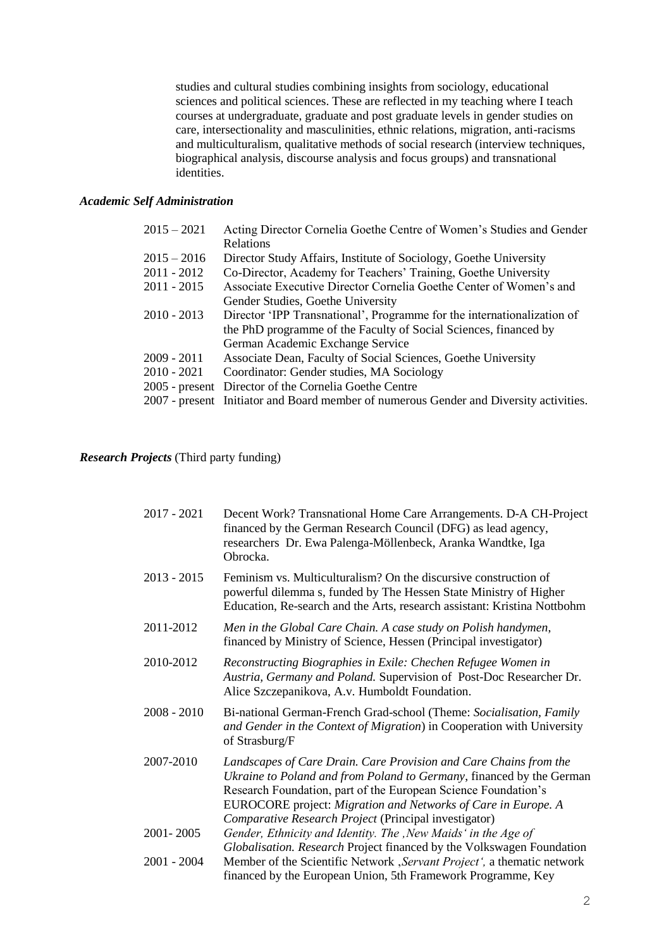studies and cultural studies combining insights from sociology, educational sciences and political sciences. These are reflected in my teaching where I teach courses at undergraduate, graduate and post graduate levels in gender studies on care, intersectionality and masculinities, ethnic relations, migration, anti-racisms and multiculturalism, qualitative methods of social research (interview techniques, biographical analysis, discourse analysis and focus groups) and transnational identities.

### *Academic Self Administration*

| $2015 - 2021$ | Acting Director Cornelia Goethe Centre of Women's Studies and Gender                   |
|---------------|----------------------------------------------------------------------------------------|
|               | <b>Relations</b>                                                                       |
| $2015 - 2016$ | Director Study Affairs, Institute of Sociology, Goethe University                      |
| 2011 - 2012   | Co-Director, Academy for Teachers' Training, Goethe University                         |
| 2011 - 2015   | Associate Executive Director Cornelia Goethe Center of Women's and                     |
|               | Gender Studies, Goethe University                                                      |
| 2010 - 2013   | Director 'IPP Transnational', Programme for the internationalization of                |
|               | the PhD programme of the Faculty of Social Sciences, financed by                       |
|               | German Academic Exchange Service                                                       |
| 2009 - 2011   | Associate Dean, Faculty of Social Sciences, Goethe University                          |
| 2010 - 2021   | Coordinator: Gender studies, MA Sociology                                              |
|               | 2005 - present Director of the Cornelia Goethe Centre                                  |
|               | 2007 - present Initiator and Board member of numerous Gender and Diversity activities. |

### *Research Projects* (Third party funding)

| $2017 - 2021$ | Decent Work? Transnational Home Care Arrangements. D-A CH-Project<br>financed by the German Research Council (DFG) as lead agency,<br>researchers Dr. Ewa Palenga-Möllenbeck, Aranka Wandtke, Iga<br>Obrocka.                                                                                                                         |
|---------------|---------------------------------------------------------------------------------------------------------------------------------------------------------------------------------------------------------------------------------------------------------------------------------------------------------------------------------------|
| $2013 - 2015$ | Feminism vs. Multiculturalism? On the discursive construction of<br>powerful dilemma s, funded by The Hessen State Ministry of Higher<br>Education, Re-search and the Arts, research assistant: Kristina Nottbohm                                                                                                                     |
| 2011-2012     | Men in the Global Care Chain. A case study on Polish handymen,<br>financed by Ministry of Science, Hessen (Principal investigator)                                                                                                                                                                                                    |
| 2010-2012     | Reconstructing Biographies in Exile: Chechen Refugee Women in<br>Austria, Germany and Poland. Supervision of Post-Doc Researcher Dr.<br>Alice Szczepanikova, A.v. Humboldt Foundation.                                                                                                                                                |
| $2008 - 2010$ | Bi-national German-French Grad-school (Theme: Socialisation, Family<br>and Gender in the Context of Migration) in Cooperation with University<br>of Strasburg/F                                                                                                                                                                       |
| 2007-2010     | Landscapes of Care Drain. Care Provision and Care Chains from the<br>Ukraine to Poland and from Poland to Germany, financed by the German<br>Research Foundation, part of the European Science Foundation's<br>EUROCORE project: Migration and Networks of Care in Europe. A<br>Comparative Research Project (Principal investigator) |
| 2001-2005     | Gender, Ethnicity and Identity. The , New Maids' in the Age of                                                                                                                                                                                                                                                                        |
| $2001 - 2004$ | Globalisation. Research Project financed by the Volkswagen Foundation<br>Member of the Scientific Network , Servant Project', a thematic network<br>financed by the European Union, 5th Framework Programme, Key                                                                                                                      |
|               |                                                                                                                                                                                                                                                                                                                                       |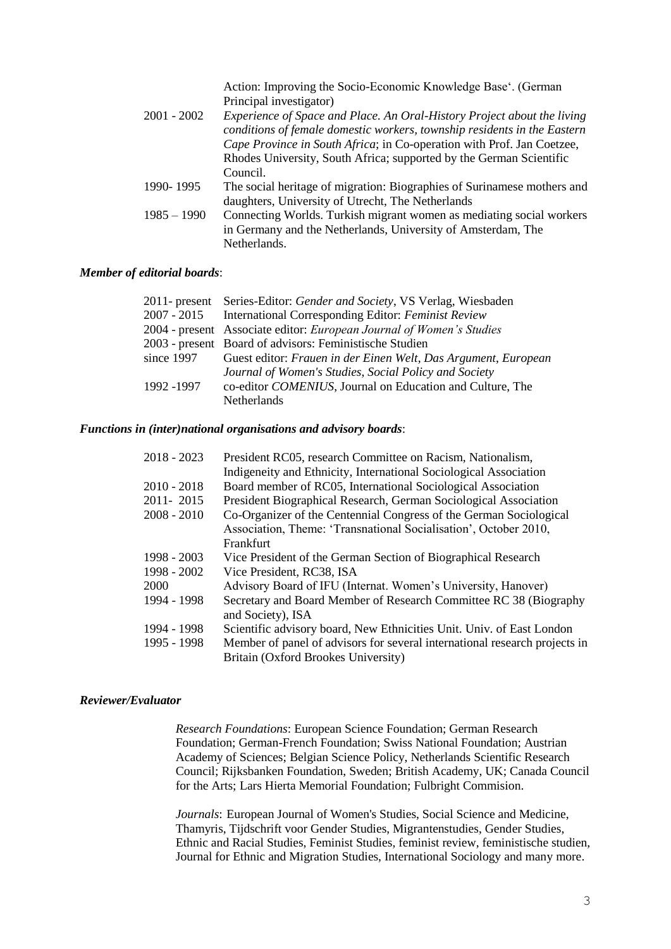|               | Action: Improving the Socio-Economic Knowledge Base'. (German            |
|---------------|--------------------------------------------------------------------------|
|               | Principal investigator)                                                  |
| $2001 - 2002$ | Experience of Space and Place. An Oral-History Project about the living  |
|               | conditions of female domestic workers, township residents in the Eastern |
|               | Cape Province in South Africa; in Co-operation with Prof. Jan Coetzee,   |
|               | Rhodes University, South Africa; supported by the German Scientific      |
|               | Council.                                                                 |
| 1990-1995     | The social heritage of migration: Biographies of Surinamese mothers and  |
|               | daughters, University of Utrecht, The Netherlands                        |
| $1985 - 1990$ | Connecting Worlds. Turkish migrant women as mediating social workers     |
|               | in Germany and the Netherlands, University of Amsterdam, The             |
|               | Netherlands.                                                             |

#### *Member of editorial boards*:

|               | 2011- present Series-Editor: Gender and Society, VS Verlag, Wiesbaden |
|---------------|-----------------------------------------------------------------------|
| $2007 - 2015$ | International Corresponding Editor: Feminist Review                   |
|               | 2004 - present Associate editor: European Journal of Women's Studies  |
|               | 2003 - present Board of advisors: Feministische Studien               |
| since 1997    | Guest editor: Frauen in der Einen Welt, Das Argument, European        |
|               | Journal of Women's Studies, Social Policy and Society                 |
| 1992 -1997    | co-editor COMENIUS, Journal on Education and Culture, The             |
|               | <b>Netherlands</b>                                                    |

#### *Functions in (inter)national organisations and advisory boards*:

| $2018 - 2023$ | President RC05, research Committee on Racism, Nationalism,                 |
|---------------|----------------------------------------------------------------------------|
|               | Indigeneity and Ethnicity, International Sociological Association          |
| $2010 - 2018$ | Board member of RC05, International Sociological Association               |
| 2011-2015     | President Biographical Research, German Sociological Association           |
| $2008 - 2010$ | Co-Organizer of the Centennial Congress of the German Sociological         |
|               | Association, Theme: 'Transnational Socialisation', October 2010,           |
|               | Frankfurt                                                                  |
| 1998 - 2003   | Vice President of the German Section of Biographical Research              |
| 1998 - 2002   | Vice President, RC38, ISA                                                  |
| 2000          | Advisory Board of IFU (Internat. Women's University, Hanover)              |
| 1994 - 1998   | Secretary and Board Member of Research Committee RC 38 (Biography          |
|               | and Society), ISA                                                          |
| 1994 - 1998   | Scientific advisory board, New Ethnicities Unit. Univ. of East London      |
| 1995 - 1998   | Member of panel of advisors for several international research projects in |
|               | Britain (Oxford Brookes University)                                        |

#### *Reviewer/Evaluator*

*Research Foundations*: European Science Foundation; German Research Foundation; German-French Foundation; Swiss National Foundation; Austrian Academy of Sciences; Belgian Science Policy, Netherlands Scientific Research Council; Rijksbanken Foundation, Sweden; British Academy, UK; Canada Council for the Arts; Lars Hierta Memorial Foundation; Fulbright Commision.

*Journals*: European Journal of Women's Studies, Social Science and Medicine, Thamyris, Tijdschrift voor Gender Studies, Migrantenstudies, Gender Studies, Ethnic and Racial Studies, Feminist Studies, feminist review, feministische studien, Journal for Ethnic and Migration Studies, International Sociology and many more.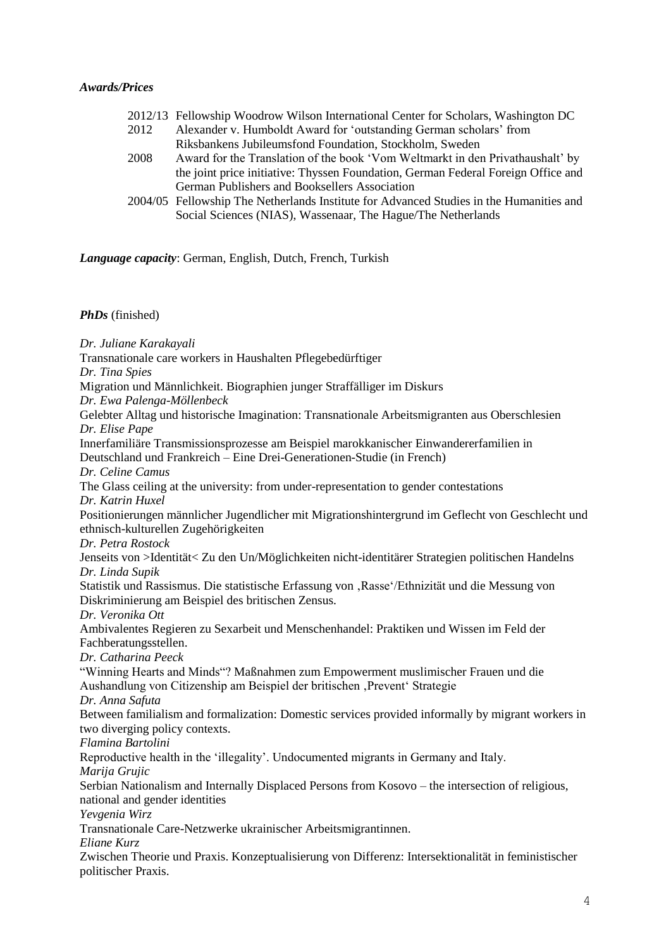### *Awards/Prices*

|      | 2012/13 Fellowship Woodrow Wilson International Center for Scholars, Washington DC      |
|------|-----------------------------------------------------------------------------------------|
| 2012 | Alexander v. Humboldt Award for 'outstanding German scholars' from                      |
|      | Riksbankens Jubileumsfond Foundation, Stockholm, Sweden                                 |
| 2008 | Award for the Translation of the book 'Vom Weltmarkt in den Privathaushalt' by          |
|      | the joint price initiative: Thyssen Foundation, German Federal Foreign Office and       |
|      | German Publishers and Booksellers Association                                           |
|      | 2004/05 Fellowship The Netherlands Institute for Advanced Studies in the Humanities and |
|      | Social Sciences (NIAS), Wassenaar, The Hague/The Netherlands                            |

*Language capacity*: German, English, Dutch, French, Turkish

*PhDs* (finished)

*Dr. Juliane Karakayali* Transnationale care workers in Haushalten Pflegebedürftiger *Dr. Tina Spies* Migration und Männlichkeit. Biographien junger Straffälliger im Diskurs *Dr. Ewa Palenga-Möllenbeck* Gelebter Alltag und historische Imagination: Transnationale Arbeitsmigranten aus Oberschlesien *Dr. Elise Pape* Innerfamiliäre Transmissionsprozesse am Beispiel marokkanischer Einwandererfamilien in Deutschland und Frankreich – Eine Drei-Generationen-Studie (in French) *Dr. Celine Camus* The Glass ceiling at the university: from under-representation to gender contestations *Dr. Katrin Huxel* Positionierungen männlicher Jugendlicher mit Migrationshintergrund im Geflecht von Geschlecht und ethnisch-kulturellen Zugehörigkeiten *Dr. Petra Rostock* Jenseits von >Identität< Zu den Un/Möglichkeiten nicht-identitärer Strategien politischen Handelns *Dr. Linda Supik* Statistik und Rassismus. Die statistische Erfassung von 'Rasse'/Ethnizität und die Messung von Diskriminierung am Beispiel des britischen Zensus. *Dr. Veronika Ott* Ambivalentes Regieren zu Sexarbeit und Menschenhandel: Praktiken und Wissen im Feld der Fachberatungsstellen. *Dr. Catharina Peeck* "Winning Hearts and Minds"? Maßnahmen zum Empowerment muslimischer Frauen und die Aushandlung von Citizenship am Beispiel der britischen ,Prevent' Strategie *Dr. Anna Safuta* Between familialism and formalization: Domestic services provided informally by migrant workers in two diverging policy contexts. *Flamina Bartolini* Reproductive health in the 'illegality'. Undocumented migrants in Germany and Italy. *Marija Grujic* Serbian Nationalism and Internally Displaced Persons from Kosovo – the intersection of religious, national and gender identities *Yevgenia Wirz* Transnationale Care-Netzwerke ukrainischer Arbeitsmigrantinnen. *Eliane Kurz*  Zwischen Theorie und Praxis. Konzeptualisierung von Differenz: Intersektionalität in feministischer politischer Praxis.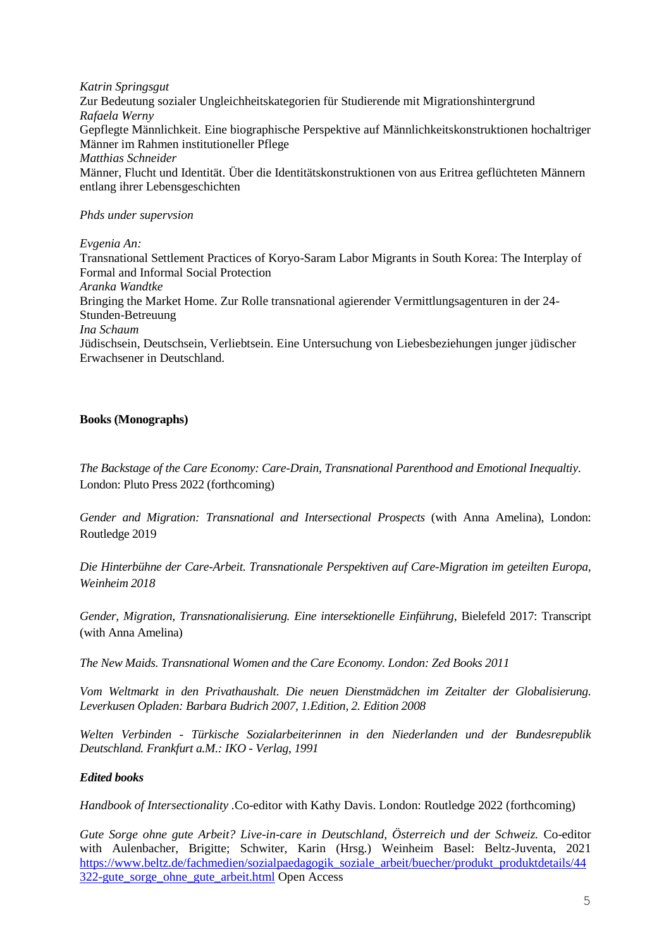*Katrin Springsgut* Zur Bedeutung sozialer Ungleichheitskategorien für Studierende mit Migrationshintergrund *Rafaela Werny* Gepflegte Männlichkeit. Eine biographische Perspektive auf Männlichkeitskonstruktionen hochaltriger Männer im Rahmen institutioneller Pflege *Matthias Schneider* Männer, Flucht und Identität. Über die Identitätskonstruktionen von aus Eritrea geflüchteten Männern entlang ihrer Lebensgeschichten

## *Phds under supervsion*

*Evgenia An:*

Transnational Settlement Practices of Koryo-Saram Labor Migrants in South Korea: The Interplay of Formal and Informal Social Protection *Aranka Wandtke* Bringing the Market Home. Zur Rolle transnational agierender Vermittlungsagenturen in der 24- Stunden-Betreuung *Ina Schaum* Jüdischsein, Deutschsein, Verliebtsein. Eine Untersuchung von Liebesbeziehungen junger jüdischer Erwachsener in Deutschland.

## **Books (Monographs)**

*The Backstage of the Care Economy: Care-Drain, Transnational Parenthood and Emotional Inequaltiy*. London: Pluto Press 2022 (forthcoming)

*Gender and Migration: Transnational and Intersectional Prospects* (with Anna Amelina), London: Routledge 2019

*Die Hinterbühne der Care-Arbeit. Transnationale Perspektiven auf Care-Migration im geteilten Europa, Weinheim 2018*

*Gender, Migration, Transnationalisierung. Eine intersektionelle Einführung*, Bielefeld 2017: Transcript (with Anna Amelina)

*The New Maids. Transnational Women and the Care Economy. London: Zed Books 2011*

*Vom Weltmarkt in den Privathaushalt. Die neuen Dienstmädchen im Zeitalter der Globalisierung. Leverkusen Opladen: Barbara Budrich 2007, 1.Edition, 2. Edition 2008*

*Welten Verbinden - Türkische Sozialarbeiterinnen in den Niederlanden und der Bundesrepublik Deutschland. Frankfurt a.M.: IKO - Verlag, 1991*

# *Edited books*

*Handbook of Intersectionality .*Co-editor with Kathy Davis. London: Routledge 2022 (forthcoming)

*Gute Sorge ohne gute Arbeit? Live-in-care in Deutschland, Österreich und der Schweiz.* Co-editor with Aulenbacher, Brigitte; Schwiter, Karin (Hrsg.) Weinheim Basel: Beltz-Juventa, 2021 [https://www.beltz.de/fachmedien/sozialpaedagogik\\_soziale\\_arbeit/buecher/produkt\\_produktdetails/44](https://www.beltz.de/fachmedien/sozialpaedagogik_soziale_arbeit/buecher/produkt_produktdetails/44322-gute_sorge_ohne_gute_arbeit.html) [322-gute\\_sorge\\_ohne\\_gute\\_arbeit.html](https://www.beltz.de/fachmedien/sozialpaedagogik_soziale_arbeit/buecher/produkt_produktdetails/44322-gute_sorge_ohne_gute_arbeit.html) Open Access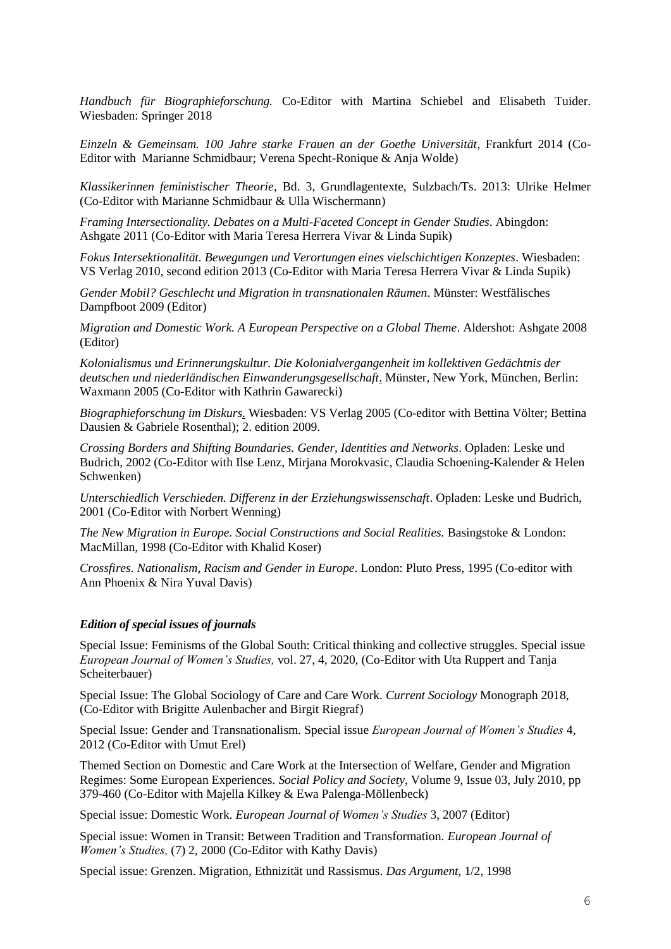*Handbuch für Biographieforschung.* Co-Editor with Martina Schiebel and Elisabeth Tuider. Wiesbaden: Springer 2018

*Einzeln & Gemeinsam. 100 Jahre starke Frauen an der Goethe Universität*, Frankfurt 2014 (Co-Editor with Marianne Schmidbaur; Verena Specht-Ronique & Anja Wolde)

*Klassikerinnen feministischer Theorie*, Bd. 3, Grundlagentexte, Sulzbach/Ts. 2013: Ulrike Helmer (Co-Editor with Marianne Schmidbaur & Ulla Wischermann)

*Framing Intersectionality. Debates on a Multi-Faceted Concept in Gender Studies*. Abingdon: Ashgate 2011 (Co-Editor with Maria Teresa Herrera Vivar & Linda Supik)

*Fokus Intersektionalität. Bewegungen und Verortungen eines vielschichtigen Konzeptes*. Wiesbaden: VS Verlag 2010, second edition 2013 (Co-Editor with Maria Teresa Herrera Vivar & Linda Supik)

*Gender Mobil? Geschlecht und Migration in transnationalen Räumen*. Münster: Westfälisches Dampfboot 2009 (Editor)

*Migration and Domestic Work. A European Perspective on a Global Theme*. Aldershot: Ashgate 2008 (Editor)

*Kolonialismus und Erinnerungskultur. Die Kolonialvergangenheit im kollektiven Gedächtnis der deutschen und niederländischen Einwanderungsgesellschaft*. Münster, New York, München, Berlin: Waxmann 2005 (Co-Editor with Kathrin Gawarecki)

*Biographieforschung im Diskurs*. Wiesbaden: VS Verlag 2005 (Co-editor with Bettina Völter; Bettina Dausien & Gabriele Rosenthal); 2. edition 2009.

*Crossing Borders and Shifting Boundaries. Gender, Identities and Networks*. Opladen: Leske und Budrich, 2002 (Co-Editor with Ilse Lenz, Mirjana Morokvasic, Claudia Schoening-Kalender & Helen Schwenken)

*Unterschiedlich Verschieden. Differenz in der Erziehungswissenschaft*. Opladen: Leske und Budrich, 2001 (Co-Editor with Norbert Wenning)

*The New Migration in Europe. Social Constructions and Social Realities.* Basingstoke & London: MacMillan, 1998 (Co-Editor with Khalid Koser)

*Crossfires. Nationalism, Racism and Gender in Europe*. London: Pluto Press, 1995 (Co-editor with Ann Phoenix & Nira Yuval Davis)

#### *Edition of special issues of journals*

Special Issue: Feminisms of the Global South: Critical thinking and collective struggles. Special issue *European Journal of Women's Studies,* vol. 27, 4, 2020, (Co-Editor with Uta Ruppert and Tanja Scheiterbauer)

Special Issue: The Global Sociology of Care and Care Work. *Current Sociology* Monograph 2018, (Co-Editor with Brigitte Aulenbacher and Birgit Riegraf)

Special Issue: Gender and Transnationalism. Special issue *European Journal of Women's Studies* 4, 2012 (Co-Editor with Umut Erel)

Themed Section on Domestic and Care Work at the Intersection of Welfare, Gender and Migration Regimes: Some European Experiences. *Social Policy and Society*, Volume 9, Issue 03, July 2010, pp 379-460 (Co-Editor with Majella Kilkey & Ewa Palenga-Möllenbeck)

Special issue: Domestic Work. *European Journal of Women's Studies* 3, 2007 (Editor)

Special issue: Women in Transit: Between Tradition and Transformation. *European Journal of Women's Studies,* (7) 2, 2000 (Co-Editor with Kathy Davis)

Special issue: Grenzen. Migration, Ethnizität und Rassismus. *Das Argument*, 1/2, 1998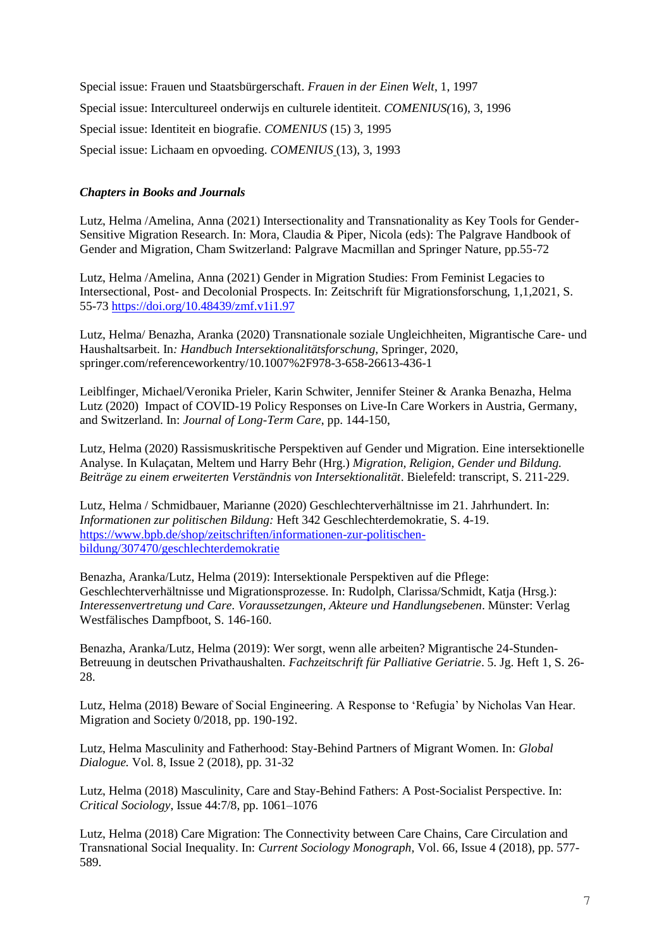Special issue: Frauen und Staatsbürgerschaft. *Frauen in der Einen Welt*, 1, 1997 Special issue: Intercultureel onderwijs en culturele identiteit. *COMENIUS(*16), 3, 1996 Special issue: Identiteit en biografie. *COMENIUS* (15) 3, 1995 Special issue: Lichaam en opvoeding. *COMENIUS* (13), 3, 1993

## *Chapters in Books and Journals*

Lutz, Helma /Amelina, Anna (2021) Intersectionality and Transnationality as Key Tools for Gender-Sensitive Migration Research. In: Mora, Claudia & Piper, Nicola (eds): The Palgrave Handbook of Gender and Migration, Cham Switzerland: Palgrave Macmillan and Springer Nature, pp.55-72

Lutz, Helma /Amelina, Anna (2021) Gender in Migration Studies: From Feminist Legacies to Intersectional, Post- and Decolonial Prospects. In: Zeitschrift für Migrationsforschung, 1,1,2021, S. 55-73<https://doi.org/10.48439/zmf.v1i1.97>

Lutz, Helma/ Benazha, Aranka (2020) Transnationale soziale Ungleichheiten, Migrantische Care- und Haushaltsarbeit. In*: Handbuch Intersektionalitätsforschung,* Springer, 2020, springer.com/referenceworkentry/10.1007%2F978-3-658-26613-436-1

Leiblfinger, Michael/Veronika Prieler, Karin Schwiter, Jennifer Steiner & Aranka Benazha, Helma Lutz (2020) Impact of COVID-19 Policy Responses on Live-In Care Workers in Austria, Germany, and Switzerland. In: *Journal of Long-Term Care*, pp. 144-150,

Lutz, Helma (2020) Rassismuskritische Perspektiven auf Gender und Migration. Eine intersektionelle Analyse. In Kulaçatan, Meltem und Harry Behr (Hrg.) *Migration, Religion, Gender und Bildung. Beiträge zu einem erweiterten Verständnis von Intersektionalität*. Bielefeld: transcript, S. 211-229.

Lutz, Helma / Schmidbauer, Marianne (2020) Geschlechterverhältnisse im 21. Jahrhundert. In: *Informationen zur politischen Bildung:* Heft 342 Geschlechterdemokratie, S. 4-19. [https://www.bpb.de/shop/zeitschriften/informationen-zur-politischen](https://www.bpb.de/shop/zeitschriften/informationen-zur-politischen-bildung/307470/geschlechterdemokratie)[bildung/307470/geschlechterdemokratie](https://www.bpb.de/shop/zeitschriften/informationen-zur-politischen-bildung/307470/geschlechterdemokratie)

Benazha, Aranka/Lutz, Helma (2019): Intersektionale Perspektiven auf die Pflege: Geschlechterverhältnisse und Migrationsprozesse. In: Rudolph, Clarissa/Schmidt, Katja (Hrsg.): *Interessenvertretung und Care. Voraussetzungen, Akteure und Handlungsebenen*. Münster: Verlag Westfälisches Dampfboot, S. 146-160.

Benazha, Aranka/Lutz, Helma (2019): Wer sorgt, wenn alle arbeiten? Migrantische 24-Stunden-Betreuung in deutschen Privathaushalten. *Fachzeitschrift für Palliative Geriatrie*. 5. Jg. Heft 1, S. 26- 28.

Lutz, Helma (2018) Beware of Social Engineering. A Response to 'Refugia' by Nicholas Van Hear. Migration and Society 0/2018, pp. 190-192.

Lutz, Helma Masculinity and Fatherhood: Stay-Behind Partners of Migrant Women. In: *Global Dialogue.* Vol. 8, Issue 2 (2018), pp. 31-32

Lutz, Helma (2018) Masculinity, Care and Stay-Behind Fathers: A Post-Socialist Perspective. In: *Critical Sociology*, Issue 44:7/8, pp. 1061–1076

Lutz, Helma (2018) Care Migration: The Connectivity between Care Chains, Care Circulation and Transnational Social Inequality. In: *Current Sociology Monograph,* Vol. 66, Issue 4 (2018), pp. 577- 589.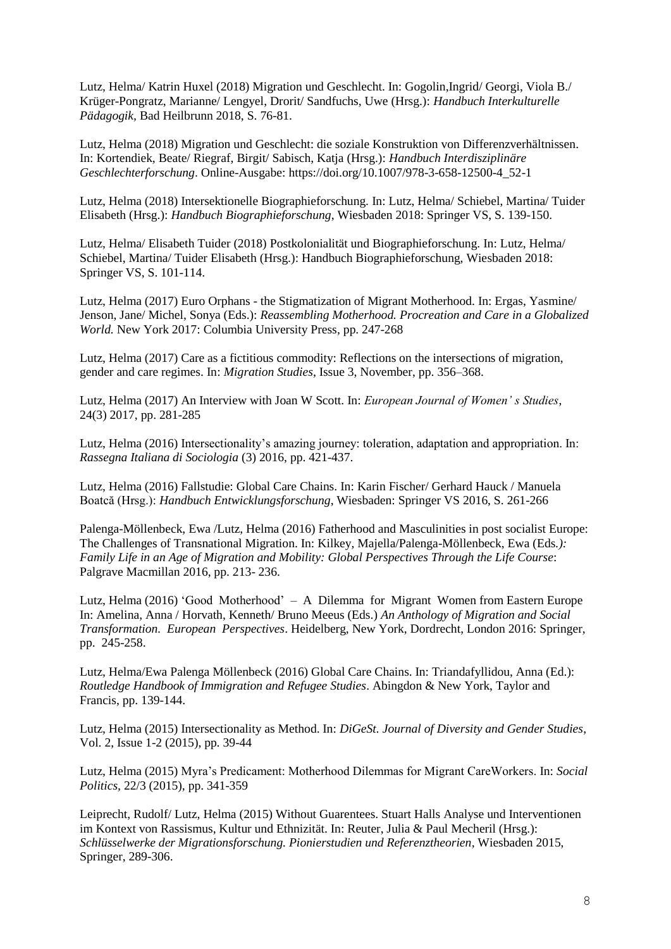Lutz, Helma/ Katrin Huxel (2018) Migration und Geschlecht. In: Gogolin,Ingrid/ Georgi, Viola B./ Krüger-Pongratz, Marianne/ Lengyel, Drorit/ Sandfuchs, Uwe (Hrsg.): *Handbuch Interkulturelle Pädagogik,* Bad Heilbrunn 2018, S. 76-81.

Lutz, Helma (2018) Migration und Geschlecht: die soziale Konstruktion von Differenzverhältnissen. In: Kortendiek, Beate/ Riegraf, Birgit/ Sabisch, Katja (Hrsg.): *Handbuch Interdisziplinäre Geschlechterforschung*. Online-Ausgabe: https://doi.org/10.1007/978-3-658-12500-4\_52-1

Lutz, Helma (2018) Intersektionelle Biographieforschung. In: Lutz, Helma/ Schiebel, Martina/ Tuider Elisabeth (Hrsg.): *Handbuch Biographieforschung*, Wiesbaden 2018: Springer VS, S. 139-150.

Lutz, Helma/ Elisabeth Tuider (2018) Postkolonialität und Biographieforschung. In: Lutz, Helma/ Schiebel, Martina/ Tuider Elisabeth (Hrsg.): Handbuch Biographieforschung, Wiesbaden 2018: Springer VS, S. 101-114.

Lutz, Helma (2017) Euro Orphans - the Stigmatization of Migrant Motherhood. In: Ergas, Yasmine/ Jenson, Jane/ Michel, Sonya (Eds.): *Reassembling Motherhood. Procreation and Care in a Globalized World.* New York 2017: Columbia University Press, pp. 247-268

Lutz, Helma (2017) Care as a fictitious commodity: Reflections on the intersections of migration, gender and care regimes. In: *Migration Studies*, Issue 3, November, pp. 356–368.

Lutz, Helma (2017) An Interview with Joan W Scott. In: *European Journal of Women' s Studies*, 24(3) 2017, pp. 281-285

Lutz, Helma (2016) Intersectionality's amazing journey: toleration, adaptation and appropriation. In: *Rassegna Italiana di Sociologia* (3) 2016, pp. 421-437.

Lutz, Helma (2016) Fallstudie: Global Care Chains. In: Karin Fischer/ Gerhard Hauck / Manuela Boatcă (Hrsg.): *Handbuch Entwicklungsforschung*, Wiesbaden: Springer VS 2016, S. 261-266

Palenga-Möllenbeck, Ewa /Lutz, Helma (2016) Fatherhood and Masculinities in post socialist Europe: The Challenges of Transnational Migration. In: Kilkey, Majella/Palenga-Möllenbeck, Ewa (Eds*.): Family Life in an Age of Migration and Mobility: Global Perspectives Through the Life Course*: Palgrave Macmillan 2016, pp. 213- 236.

Lutz, Helma (2016) 'Good Motherhood' – A Dilemma for Migrant Women from Eastern Europe In: Amelina, Anna / Horvath, Kenneth/ Bruno Meeus (Eds.) *An Anthology of Migration and Social Transformation. European Perspectives*. Heidelberg, New York, Dordrecht, London 2016: Springer, pp. 245-258.

Lutz, Helma/Ewa Palenga Möllenbeck (2016) Global Care Chains. In: Triandafyllidou, Anna (Ed.): *Routledge Handbook of Immigration and Refugee Studies*. Abingdon & New York, Taylor and Francis, pp. 139-144.

Lutz, Helma (2015) Intersectionality as Method. In: *DiGeSt. Journal of Diversity and Gender Studies*, Vol. 2, Issue 1-2 (2015), pp. 39-44

Lutz, Helma (2015) Myra's Predicament: Motherhood Dilemmas for Migrant CareWorkers. In: *Social Politics,* 22/3 (2015), pp. 341-359

Leiprecht, Rudolf/ Lutz, Helma (2015) Without Guarentees. Stuart Halls Analyse und Interventionen im Kontext von Rassismus, Kultur und Ethnizität. In: Reuter, Julia & Paul Mecheril (Hrsg.): *Schlüsselwerke der Migrationsforschung. Pionierstudien und Referenztheorien*, Wiesbaden 2015, Springer, 289-306.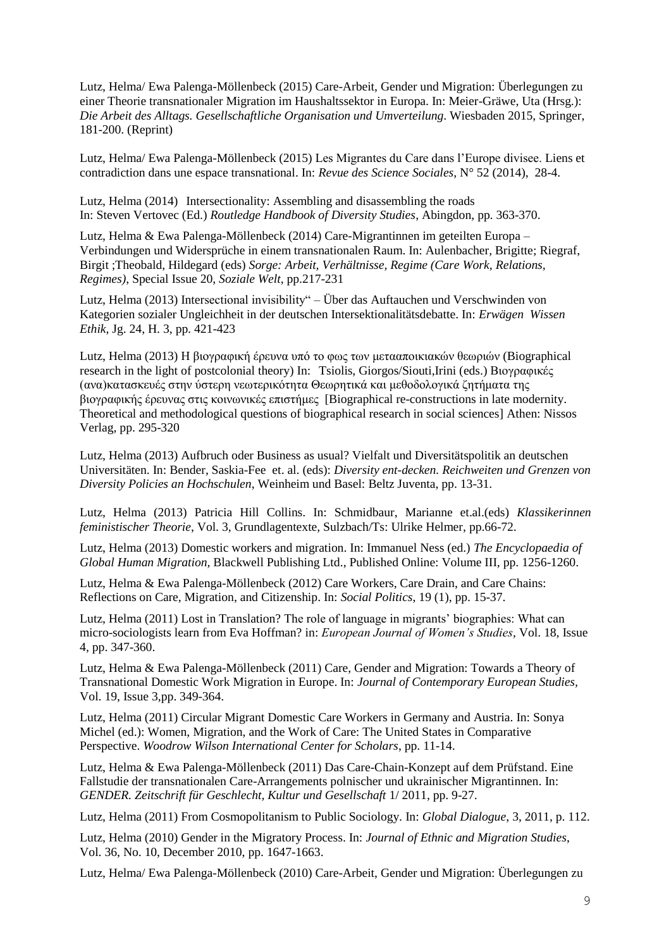Lutz, Helma/ Ewa Palenga-Möllenbeck (2015) Care-Arbeit, Gender und Migration: Überlegungen zu einer Theorie transnationaler Migration im Haushaltssektor in Europa. In: Meier-Gräwe, Uta (Hrsg.): *Die Arbeit des Alltags. Gesellschaftliche Organisation und Umverteilung*. Wiesbaden 2015, Springer, 181-200. (Reprint)

Lutz, Helma/ Ewa Palenga-Möllenbeck (2015) Les Migrantes du Care dans l'Europe divisee. Liens et contradiction dans une espace transnational. In: *Revue des Science Sociales*, N° 52 (2014), 28-4.

Lutz, Helma (2014) Intersectionality: Assembling and disassembling the roads In: Steven Vertovec (Ed.) *Routledge Handbook of Diversity Studies*, Abingdon, pp. 363-370.

Lutz, Helma & Ewa Palenga-Möllenbeck (2014) Care-Migrantinnen im geteilten Europa – Verbindungen und Widersprüche in einem transnationalen Raum. In: Aulenbacher, Brigitte; Riegraf, Birgit ;Theobald, Hildegard (eds) *Sorge: Arbeit, Verhältnisse, Regime (Care Work, Relations, Regimes)*, Special Issue 20, *Soziale Welt*, pp.217-231

Lutz, Helma (2013) Intersectional invisibility" – Über das Auftauchen und Verschwinden von Kategorien sozialer Ungleichheit in der deutschen Intersektionalitätsdebatte. In: *Erwägen Wissen Ethik,* Jg. 24, H. 3, pp. 421-423

Lutz, Helma (2013) Η βιογραφική έρευνα υπό το φως των μετααποικιακών θεωριών (Biographical research in the light of postcolonial theory) In: Tsiolis, Giorgos/Siouti,Irini (eds.) Βιογραφικές (ανα)κατασκευές στην ύστερη νεωτερικότητα Θεωρητικά και μεθοδολογικά ζητήματα της βιογραφικής έρευνας στις κοινωνικές επιστήμες [Biographical re-constructions in late modernity. Theoretical and methodological questions of biographical research in social sciences] Athen: Nissos Verlag, pp. 295-320

Lutz, Helma (2013) Aufbruch oder Business as usual? Vielfalt und Diversitätspolitik an deutschen Universitäten. In: Bender, Saskia-Fee et. al. (eds): *Diversity ent-decken. Reichweiten und Grenzen von Diversity Policies an Hochschulen*, Weinheim und Basel: Beltz Juventa, pp. 13-31.

Lutz, Helma (2013) Patricia Hill Collins. In: Schmidbaur, Marianne et.al.(eds) *Klassikerinnen feministischer Theorie*, Vol. 3, Grundlagentexte, Sulzbach/Ts: Ulrike Helmer, pp.66-72.

Lutz, Helma (2013) Domestic workers and migration. In: Immanuel Ness (ed.) *The Encyclopaedia of Global Human Migration,* Blackwell Publishing Ltd., Published Online: Volume III, pp. 1256-1260.

Lutz, Helma & Ewa Palenga-Möllenbeck (2012) Care Workers, Care Drain, and Care Chains: Reflections on Care, Migration, and Citizenship. In: *Social Politics*, 19 (1), pp. 15-37.

Lutz, Helma (2011) Lost in Translation? The role of language in migrants' biographies: What can micro-sociologists learn from Eva Hoffman? in: *European Journal of Women's Studies*, Vol. 18, Issue 4, pp. 347-360.

Lutz, Helma & Ewa Palenga-Möllenbeck (2011) Care, Gender and Migration: Towards a Theory of Transnational Domestic Work Migration in Europe. In: *Journal of Contemporary European Studies,* Vol. 19, Issue 3,pp. 349-364.

Lutz, Helma (2011) Circular Migrant Domestic Care Workers in Germany and Austria. In: Sonya Michel (ed.): Women, Migration, and the Work of Care: The United States in Comparative Perspective. *Woodrow Wilson International Center for Scholars*, pp. 11-14.

Lutz, Helma & Ewa Palenga-Möllenbeck (2011) Das Care-Chain-Konzept auf dem Prüfstand. Eine Fallstudie der transnationalen Care-Arrangements polnischer und ukrainischer Migrantinnen. In: *GENDER. Zeitschrift für Geschlecht, Kultur und Gesellschaft* 1/ 2011, pp. 9-27.

Lutz, Helma (2011) From Cosmopolitanism to Public Sociology. In: *Global Dialogue*, 3, 2011, p. 112.

Lutz, Helma (2010) Gender in the Migratory Process. In: *Journal of Ethnic and Migration Studies*, Vol. 36, No. 10, December 2010, pp. 1647-1663.

Lutz, Helma/ Ewa Palenga-Möllenbeck (2010) Care-Arbeit, Gender und Migration: Überlegungen zu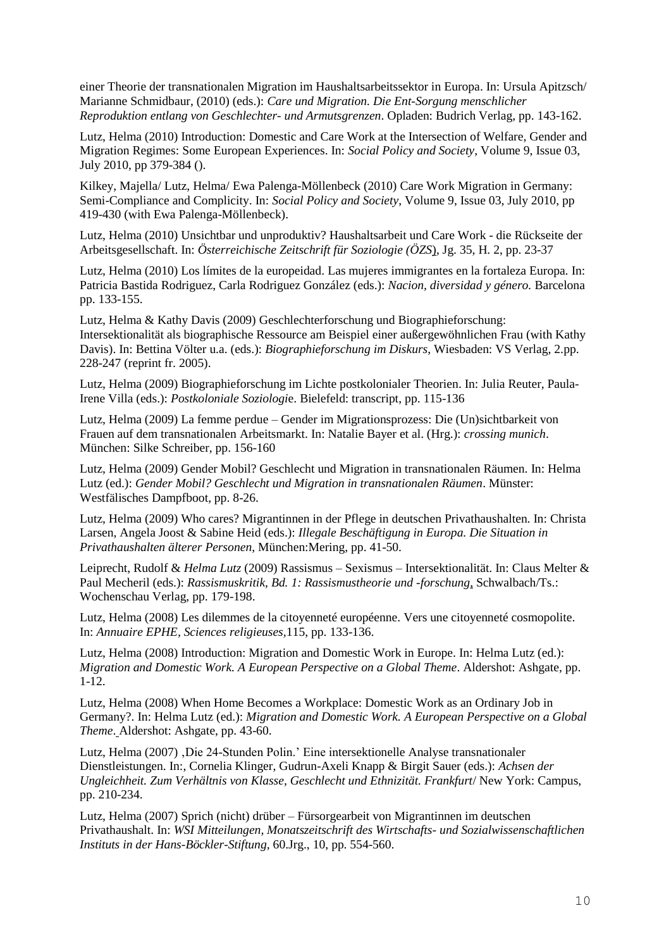einer Theorie der transnationalen Migration im Haushaltsarbeitssektor in Europa. In: Ursula Apitzsch/ Marianne Schmidbaur, (2010) (eds.): *Care und Migration. Die Ent-Sorgung menschlicher Reproduktion entlang von Geschlechter- und Armutsgrenzen*. Opladen: Budrich Verlag, pp. 143-162.

Lutz, Helma (2010) Introduction: Domestic and Care Work at the Intersection of Welfare, Gender and Migration Regimes: Some European Experiences. In: *Social Policy and Society*, Volume 9, Issue 03, July 2010, pp 379-384 ().

Kilkey, Majella/ Lutz, Helma/ Ewa Palenga-Möllenbeck (2010) Care Work Migration in Germany: Semi-Compliance and Complicity. In: *[Social Policy and Society](http://journals.cambridge.org/action/displayJournal?jid=SPS)*, [Volume 9,](http://journals.cambridge.org/action/displayJournal?jid=SPS&volumeId=9&bVolume=y#loc9) [Issue 03,](http://journals.cambridge.org/action/displayIssue?jid=SPS&volumeId=9&seriesId=0&issueId=03) July 2010, pp 419-430 (with Ewa Palenga-Möllenbeck).

Lutz, Helma (2010) Unsichtbar und unproduktiv? Haushaltsarbeit und Care Work - die Rückseite der Arbeitsgesellschaft. In: *Österreichische Zeitschrift für Soziologie (ÖZS*), Jg. 35, H. 2, pp. 23-37

Lutz, Helma (2010) Los límites de la europeidad. Las mujeres immigrantes en la fortaleza Europa. In: Patricia Bastida Rodriguez, Carla Rodriguez González (eds.): *Nacion, diversidad y género.* Barcelona pp. 133-155.

Lutz, Helma & Kathy Davis (2009) Geschlechterforschung und Biographieforschung: Intersektionalität als biographische Ressource am Beispiel einer außergewöhnlichen Frau (with Kathy Davis). In: Bettina Völter u.a. (eds.): *Biographieforschung im Diskurs*, Wiesbaden: VS Verlag, 2.pp. 228-247 (reprint fr. 2005).

Lutz, Helma (2009) Biographieforschung im Lichte postkolonialer Theorien. In: Julia Reuter, Paula-Irene Villa (eds.): *Postkoloniale Soziologi*e. Bielefeld: transcript, pp. 115-136

Lutz, Helma (2009) La femme perdue – Gender im Migrationsprozess: Die (Un)sichtbarkeit von Frauen auf dem transnationalen Arbeitsmarkt. In: Natalie Bayer et al. (Hrg.): *crossing munich*. München: Silke Schreiber, pp. 156-160

Lutz, Helma (2009) Gender Mobil? Geschlecht und Migration in transnationalen Räumen. In: Helma Lutz (ed.): *Gender Mobil? Geschlecht und Migration in transnationalen Räumen*. Münster: Westfälisches Dampfboot, pp. 8-26.

Lutz, Helma (2009) Who cares? Migrantinnen in der Pflege in deutschen Privathaushalten. In: Christa Larsen, Angela Joost & Sabine Heid (eds.): *Illegale Beschäftigung in Europa. Die Situation in Privathaushalten älterer Personen,* München:Mering, pp. 41-50.

Leiprecht, Rudolf & *Helma Lutz* (2009) Rassismus – Sexismus – Intersektionalität. In: Claus Melter & Paul Mecheril (eds.): *Rassismuskritik, Bd. 1: Rassismustheorie und -forschung*, Schwalbach/Ts.: Wochenschau Verlag, pp. 179-198.

Lutz, Helma (2008) Les dilemmes de la citoyenneté européenne. Vers une citoyenneté cosmopolite. In: *Annuaire EPHE, Sciences religieuses,*115, pp. 133-136.

Lutz, Helma (2008) Introduction: Migration and Domestic Work in Europe. In: Helma Lutz (ed.): *Migration and Domestic Work. A European Perspective on a Global Theme*. Aldershot: Ashgate, pp. 1-12.

Lutz, Helma (2008) When Home Becomes a Workplace: Domestic Work as an Ordinary Job in Germany?. In: Helma Lutz (ed.): *Migration and Domestic Work. A European Perspective on a Global Theme*. Aldershot: Ashgate, pp. 43-60.

Lutz, Helma (2007) , Die 24-Stunden Polin.' Eine intersektionelle Analyse transnationaler Dienstleistungen. In:, Cornelia Klinger, Gudrun-Axeli Knapp & Birgit Sauer (eds.): *Achsen der Ungleichheit. Zum Verhältnis von Klasse, Geschlecht und Ethnizität. Frankfurt*/ New York: Campus, pp. 210-234.

Lutz, Helma (2007) Sprich (nicht) drüber – Fürsorgearbeit von Migrantinnen im deutschen Privathaushalt. In: *WSI Mitteilungen, Monatszeitschrift des Wirtschafts- und Sozialwissenschaftlichen Instituts in der Hans-Böckler-Stiftung,* 60.Jrg., 10, pp. 554-560.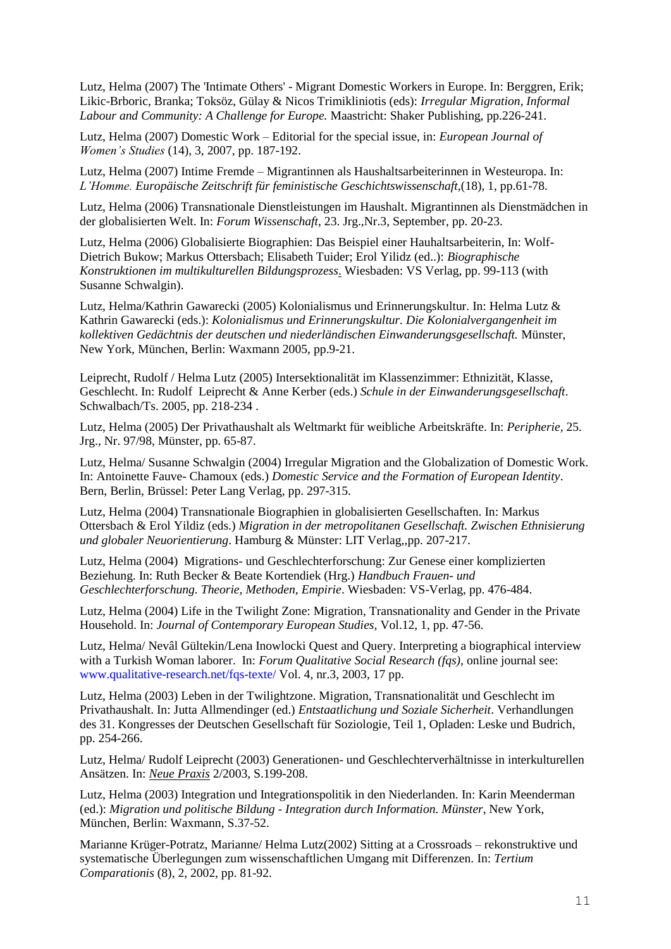Lutz, Helma (2007) The 'Intimate Others' - Migrant Domestic Workers in Europe. In: Berggren, Erik; Likic-Brboric, Branka; Toksöz, Gülay & Nicos Trimikliniotis (eds): *Irregular Migration, Informal Labour and Community: A Challenge for Europe.* Maastricht: Shaker Publishing, pp.226-241.

Lutz, Helma (2007) Domestic Work – Editorial for the special issue, in: *European Journal of Women's Studies* (14), 3, 2007, pp. 187-192.

Lutz, Helma (2007) Intime Fremde – Migrantinnen als Haushaltsarbeiterinnen in Westeuropa. In: *L'Homme. Europäische Zeitschrift für feministische Geschichtswissenschaft,*(18), 1, pp.61-78.

Lutz, Helma (2006) Transnationale Dienstleistungen im Haushalt. Migrantinnen als Dienstmädchen in der globalisierten Welt. In: *Forum Wissenschaft*, 23. Jrg.,Nr.3, September, pp. 20-23.

Lutz, Helma (2006) Globalisierte Biographien: Das Beispiel einer Hauhaltsarbeiterin, In: Wolf-Dietrich Bukow; Markus Ottersbach; Elisabeth Tuider; Erol Yilidz (ed..): *Biographische Konstruktionen im multikulturellen Bildungsprozess*. Wiesbaden: VS Verlag, pp. 99-113 (with Susanne Schwalgin).

Lutz, Helma/Kathrin Gawarecki (2005) Kolonialismus und Erinnerungskultur. In: Helma Lutz & Kathrin Gawarecki (eds.): *Kolonialismus und Erinnerungskultur. Die Kolonialvergangenheit im kollektiven Gedächtnis der deutschen und niederländischen Einwanderungsgesellschaft.* Münster, New York, München, Berlin: Waxmann 2005, pp.9-21.

Leiprecht, Rudolf / Helma Lutz (2005) Intersektionalität im Klassenzimmer: Ethnizität, Klasse, Geschlecht. In: Rudolf Leiprecht & Anne Kerber (eds.) *Schule in der Einwanderungsgesellschaft*. Schwalbach/Ts. 2005, pp. 218-234 .

Lutz, Helma (2005) Der Privathaushalt als Weltmarkt für weibliche Arbeitskräfte. In: *Peripherie,* 25. Jrg., Nr. 97/98, Münster, pp. 65-87.

Lutz, Helma/ Susanne Schwalgin (2004) Irregular Migration and the Globalization of Domestic Work. In: Antoinette Fauve- Chamoux (eds.) *Domestic Service and the Formation of European Identity*. Bern, Berlin, Brüssel: Peter Lang Verlag, pp. 297-315.

Lutz, Helma (2004) Transnationale Biographien in globalisierten Gesellschaften. In: Markus Ottersbach & Erol Yildiz (eds.) *Migration in der metropolitanen Gesellschaft. Zwischen Ethnisierung und globaler Neuorientierung*. Hamburg & Münster: LIT Verlag,,pp. 207-217.

Lutz, Helma (2004) Migrations- und Geschlechterforschung: Zur Genese einer komplizierten Beziehung. In: Ruth Becker & Beate Kortendiek (Hrg.) *Handbuch Frauen- und Geschlechterforschung. Theorie, Methoden, Empirie*. Wiesbaden: VS-Verlag, pp. 476-484.

Lutz, Helma (2004) Life in the Twilight Zone: Migration, Transnationality and Gender in the Private Household. In: *Journal of Contemporary European Studies,* Vol.12, 1, pp. 47-56.

Lutz, Helma/ Nevâl Gültekin/Lena Inowlocki Quest and Query. Interpreting a biographical interview with a Turkish Woman laborer. In: *Forum Qualitative Social Research (fqs),* online journal see: www.qualitative-research.net/fqs-texte/ Vol. 4, nr.3, 2003, 17 pp.

Lutz, Helma (2003) Leben in der Twilightzone. Migration, Transnationalität und Geschlecht im Privathaushalt. In: Jutta Allmendinger (ed.) *Entstaatlichung und Soziale Sicherheit*. Verhandlungen des 31. Kongresses der Deutschen Gesellschaft für Soziologie, Teil 1, Opladen: Leske und Budrich, pp. 254-266.

Lutz, Helma/ Rudolf Leiprecht (2003) Generationen- und Geschlechterverhältnisse in interkulturellen Ansätzen. In: *Neue Praxis* 2/2003, S.199-208.

Lutz, Helma (2003) Integration und Integrationspolitik in den Niederlanden. In: Karin Meenderman (ed.): *Migration und politische Bildung - Integration durch Information. Münster*, New York, München, Berlin: Waxmann, S.37-52.

Marianne Krüger-Potratz, Marianne/ Helma Lutz(2002) Sitting at a Crossroads – rekonstruktive und systematische Überlegungen zum wissenschaftlichen Umgang mit Differenzen. In: *Tertium Comparationis* (8), 2, 2002, pp. 81-92.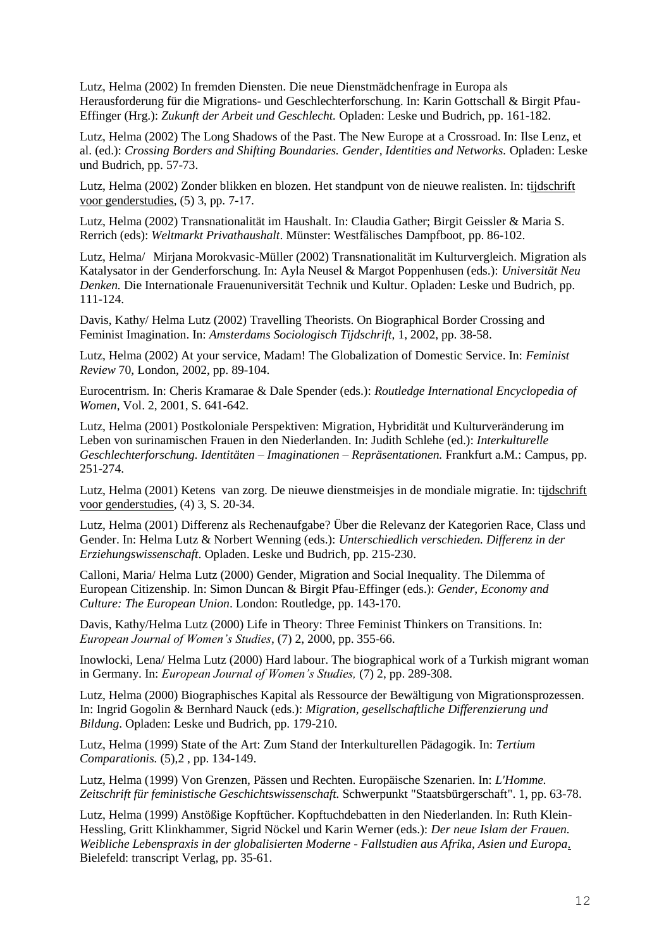Lutz, Helma (2002) In fremden Diensten. Die neue Dienstmädchenfrage in Europa als Herausforderung für die Migrations- und Geschlechterforschung. In: Karin Gottschall & Birgit Pfau-Effinger (Hrg.): *Zukunft der Arbeit und Geschlecht.* Opladen: Leske und Budrich, pp. 161-182.

Lutz, Helma (2002) The Long Shadows of the Past. The New Europe at a Crossroad. In: Ilse Lenz, et al. (ed.): *Crossing Borders and Shifting Boundaries. Gender, Identities and Networks.* Opladen: Leske und Budrich, pp. 57-73.

Lutz, Helma (2002) Zonder blikken en blozen. Het standpunt von de nieuwe realisten. In: tijdschrift voor genderstudies, (5) 3, pp. 7-17.

Lutz, Helma (2002) Transnationalität im Haushalt. In: Claudia Gather; Birgit Geissler & Maria S. Rerrich (eds): *Weltmarkt Privathaushalt*. Münster: Westfälisches Dampfboot, pp. 86-102.

Lutz, Helma/ Mirjana Morokvasic-Müller (2002) Transnationalität im Kulturvergleich. Migration als Katalysator in der Genderforschung. In: Ayla Neusel & Margot Poppenhusen (eds.): *Universität Neu Denken.* Die Internationale Frauenuniversität Technik und Kultur. Opladen: Leske und Budrich, pp. 111-124.

Davis, Kathy/ Helma Lutz (2002) Travelling Theorists. On Biographical Border Crossing and Feminist Imagination. In: *Amsterdams Sociologisch Tijdschrift*, 1, 2002, pp. 38-58.

Lutz, Helma (2002) At your service, Madam! The Globalization of Domestic Service. In: *Feminist Review* 70, London, 2002, pp. 89-104.

Eurocentrism. In: Cheris Kramarae & Dale Spender (eds.): *Routledge International Encyclopedia of Women*, Vol. 2, 2001, S. 641-642.

Lutz, Helma (2001) Postkoloniale Perspektiven: Migration, Hybridität und Kulturveränderung im Leben von surinamischen Frauen in den Niederlanden. In: Judith Schlehe (ed.): *Interkulturelle Geschlechterforschung. Identitäten – Imaginationen – Repräsentationen.* Frankfurt a.M.: Campus, pp. 251-274.

Lutz, Helma (2001) Ketens van zorg. De nieuwe dienstmeisjes in de mondiale migratie. In: tijdschrift voor genderstudies, (4) 3, S. 20-34.

Lutz, Helma (2001) Differenz als Rechenaufgabe? Über die Relevanz der Kategorien Race, Class und Gender. In: Helma Lutz & Norbert Wenning (eds.): *Unterschiedlich verschieden. Differenz in der Erziehungswissenschaft*. Opladen. Leske und Budrich, pp. 215-230.

Calloni, Maria/ Helma Lutz (2000) Gender, Migration and Social Inequality. The Dilemma of European Citizenship. In: Simon Duncan & Birgit Pfau-Effinger (eds.): *Gender, Economy and Culture: The European Union*. London: Routledge, pp. 143-170.

Davis, Kathy/Helma Lutz (2000) Life in Theory: Three Feminist Thinkers on Transitions. In: *European Journal of Women's Studies*, (7) 2, 2000, pp. 355-66.

Inowlocki, Lena/ Helma Lutz (2000) Hard labour. The biographical work of a Turkish migrant woman in Germany. In: *European Journal of Women's Studies,* (7) 2, pp. 289-308.

Lutz, Helma (2000) Biographisches Kapital als Ressource der Bewältigung von Migrationsprozessen. In: Ingrid Gogolin & Bernhard Nauck (eds.): *Migration, gesellschaftliche Differenzierung und Bildung*. Opladen: Leske und Budrich, pp. 179-210.

Lutz, Helma (1999) State of the Art: Zum Stand der Interkulturellen Pädagogik. In: *Tertium Comparationis.* (5),2 , pp. 134-149.

Lutz, Helma (1999) Von Grenzen, Pässen und Rechten. Europäische Szenarien. In: *L'Homme. Zeitschrift für feministische Geschichtswissenschaft.* Schwerpunkt "Staatsbürgerschaft". 1, pp. 63-78.

Lutz, Helma (1999) Anstößige Kopftücher. Kopftuchdebatten in den Niederlanden. In: Ruth Klein-Hessling, Gritt Klinkhammer, Sigrid Nöckel und Karin Werner (eds.): *Der neue Islam der Frauen. Weibliche Lebenspraxis in der globalisierten Moderne - Fallstudien aus Afrika, Asien und Europa*. Bielefeld: transcript Verlag, pp. 35-61.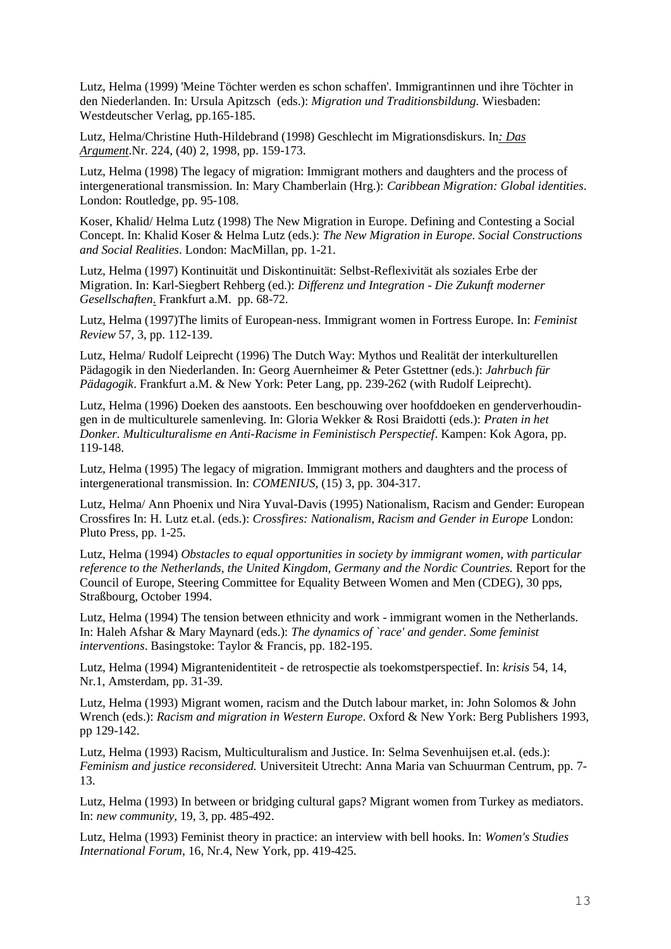Lutz, Helma (1999) 'Meine Töchter werden es schon schaffen'. Immigrantinnen und ihre Töchter in den Niederlanden. In: Ursula Apitzsch (eds.): *Migration und Traditionsbildung.* Wiesbaden: Westdeutscher Verlag, pp.165-185.

Lutz, Helma/Christine Huth-Hildebrand (1998) Geschlecht im Migrationsdiskurs. In*: Das Argument*.Nr. 224, (40) 2, 1998, pp. 159-173.

Lutz, Helma (1998) The legacy of migration: Immigrant mothers and daughters and the process of intergenerational transmission. In: Mary Chamberlain (Hrg.): *Caribbean Migration: Global identities*. London: Routledge, pp. 95-108.

Koser, Khalid/ Helma Lutz (1998) The New Migration in Europe. Defining and Contesting a Social Concept. In: Khalid Koser & Helma Lutz (eds.): *The New Migration in Europe. Social Constructions and Social Realities*. London: MacMillan, pp. 1-21.

Lutz, Helma (1997) Kontinuität und Diskontinuität: Selbst-Reflexivität als soziales Erbe der Migration. In: Karl-Siegbert Rehberg (ed.): *Differenz und Integration - Die Zukunft moderner Gesellschaften*. Frankfurt a.M. pp. 68-72.

Lutz, Helma (1997)The limits of European-ness. Immigrant women in Fortress Europe. In: *Feminist Review* 57, 3, pp. 112-139.

Lutz, Helma/ Rudolf Leiprecht (1996) The Dutch Way: Mythos und Realität der interkulturellen Pädagogik in den Niederlanden. In: Georg Auernheimer & Peter Gstettner (eds.): *Jahrbuch für Pädagogik*. Frankfurt a.M. & New York: Peter Lang, pp. 239-262 (with Rudolf Leiprecht).

Lutz, Helma (1996) Doeken des aanstoots. Een beschouwing over hoofddoeken en genderverhoudingen in de multiculturele samenleving. In: Gloria Wekker & Rosi Braidotti (eds.): *Praten in het Donker. Multiculturalisme en Anti-Racisme in Feministisch Perspectief*. Kampen: Kok Agora, pp. 119-148.

Lutz, Helma (1995) The legacy of migration. Immigrant mothers and daughters and the process of intergenerational transmission. In: *COMENIUS,* (15) 3, pp. 304-317.

Lutz, Helma/ Ann Phoenix und Nira Yuval-Davis (1995) Nationalism, Racism and Gender: European Crossfires In: H. Lutz et.al. (eds.): *Crossfires: Nationalism, Racism and Gender in Europe* London: Pluto Press, pp. 1-25.

Lutz, Helma (1994) *Obstacles to equal opportunities in society by immigrant women, with particular reference to the Netherlands, the United Kingdom, Germany and the Nordic Countries.* Report for the Council of Europe, Steering Committee for Equality Between Women and Men (CDEG), 30 pps, Straßbourg, October 1994.

Lutz, Helma (1994) The tension between ethnicity and work - immigrant women in the Netherlands. In: Haleh Afshar & Mary Maynard (eds.): *The dynamics of `race' and gender. Some feminist interventions*. Basingstoke: Taylor & Francis, pp. 182-195.

Lutz, Helma (1994) Migrantenidentiteit - de retrospectie als toekomstperspectief. In: *krisis* 54, 14, Nr.1, Amsterdam, pp. 31-39.

Lutz, Helma (1993) Migrant women, racism and the Dutch labour market, in: John Solomos & John Wrench (eds.): *Racism and migration in Western Europe*. Oxford & New York: Berg Publishers 1993, pp 129-142.

Lutz, Helma (1993) Racism, Multiculturalism and Justice. In: Selma Sevenhuijsen et.al. (eds.): *Feminism and justice reconsidered.* Universiteit Utrecht: Anna Maria van Schuurman Centrum, pp. 7- 13.

Lutz, Helma (1993) In between or bridging cultural gaps? Migrant women from Turkey as mediators. In: *new community,* 19, 3, pp. 485-492.

Lutz, Helma (1993) Feminist theory in practice: an interview with bell hooks. In: *Women's Studies International Forum*, 16, Nr.4, New York, pp. 419-425.